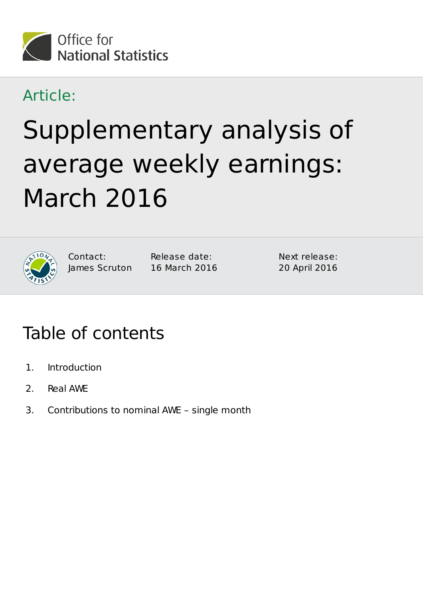

### Article:

# Supplementary analysis of average weekly earnings: March 2016



Contact: James Scruton Release date: 16 March 2016 Next release: 20 April 2016

## Table of contents

- 1. Introduction
- 2. Real AWE
- 3. Contributions to nominal AWE single month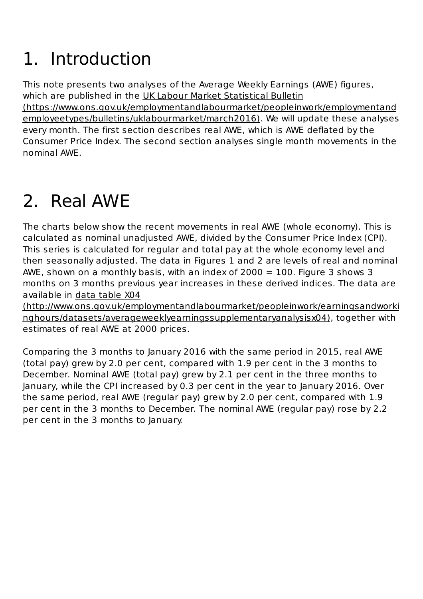# Introduction 1.

This note presents two analyses of the Average Weekly Earnings (AWE) figures, which are published in the UK Labour Market Statistical Bulletin (https://www.ons.gov.uk/employmentandlabourmarket/peopleinwork/employmentand employeetypes/bulletins/uklabourmarket/march2016). We will update these analyses every month. The first section describes real AWE, which is AWE deflated by the Consumer Price Index. The second section analyses single month movements in the nominal AWE.

# 2. Real AWE

The charts below show the recent movements in real AWE (whole economy). This is calculated as nominal unadjusted AWE, divided by the Consumer Price Index (CPI). This series is calculated for regular and total pay at the whole economy level and then seasonally adjusted. The data in Figures 1 and 2 are levels of real and nominal AWE, shown on a monthly basis, with an index of  $2000 = 100$ . Figure 3 shows 3 months on 3 months previous year increases in these derived indices. The data are available in data table X04

(http://www.ons.gov.uk/employmentandlabourmarket/peopleinwork/earningsandworki nghours/datasets/averageweeklyearningssupplementaryanalysisx04), together with estimates of real AWE at 2000 prices.

Comparing the 3 months to January 2016 with the same period in 2015, real AWE (total pay) grew by 2.0 per cent, compared with 1.9 per cent in the 3 months to December. Nominal AWE (total pay) grew by 2.1 per cent in the three months to January, while the CPI increased by 0.3 per cent in the year to January 2016. Over the same period, real AWE (regular pay) grew by 2.0 per cent, compared with 1.9 per cent in the 3 months to December. The nominal AWE (regular pay) rose by 2.2 per cent in the 3 months to January.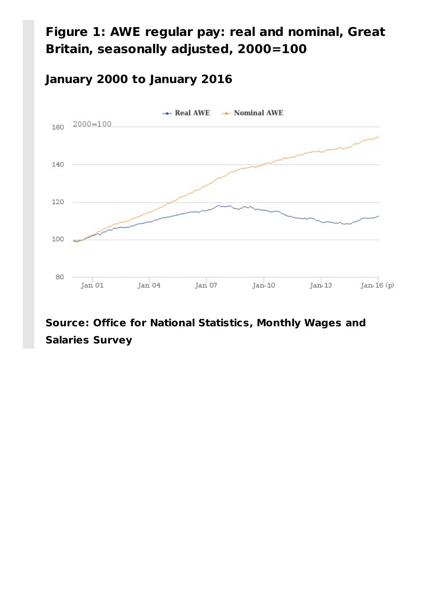#### **Figure 1: AWE regular pay: real and nominal, Great Britain, seasonally adjusted, 2000=100**

#### **January 2000 to January 2016**



#### **Source: Office for National Statistics, Monthly Wages and Salaries Survey**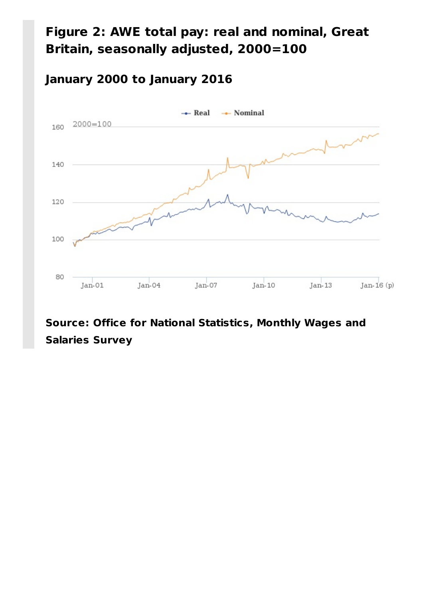#### **Figure 2: AWE total pay: real and nominal, Great Britain, seasonally adjusted, 2000=100**

#### **January 2000 to January 2016**



#### **Source: Office for National Statistics, Monthly Wages and Salaries Survey**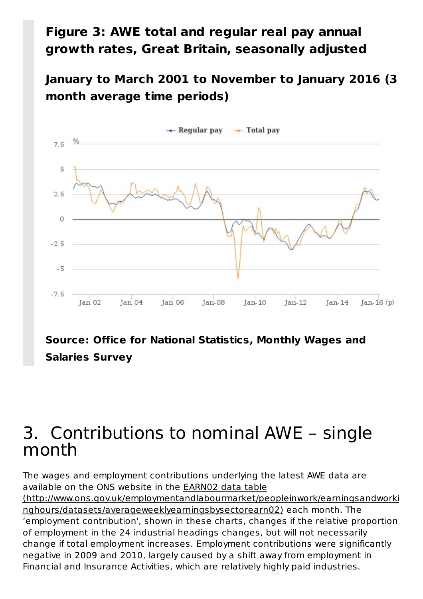#### **Figure 3: AWE total and regular real pay annual growth rates, Great Britain, seasonally adjusted**

**January to March 2001 to November to January 2016 (3 month average time periods)**



#### **Source: Office for National Statistics, Monthly Wages and Salaries Survey**

### Contributions to nominal AWE – single 3.month

The wages and employment contributions underlying the latest AWE data are available on the ONS website in the EARN02 data table (http://www.ons.gov.uk/employmentandlabourmarket/peopleinwork/earningsandworki nghours/datasets/averageweeklyearningsbysectorearn02) each month. The 'employment contribution', shown in these charts, changes if the relative proportion of employment in the 24 industrial headings changes, but will not necessarily change if total employment increases. Employment contributions were significantly negative in 2009 and 2010, largely caused by a shift away from employment in Financial and Insurance Activities, which are relatively highly paid industries.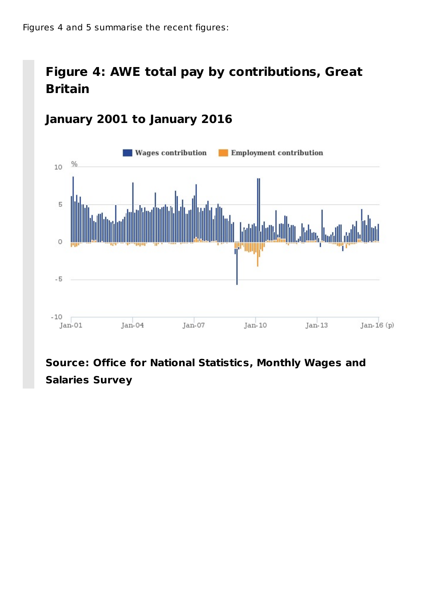#### **Figure 4: AWE total pay by contributions, Great Britain**



#### **January 2001 to January 2016**

**Source: Office for National Statistics, Monthly Wages and Salaries Survey**